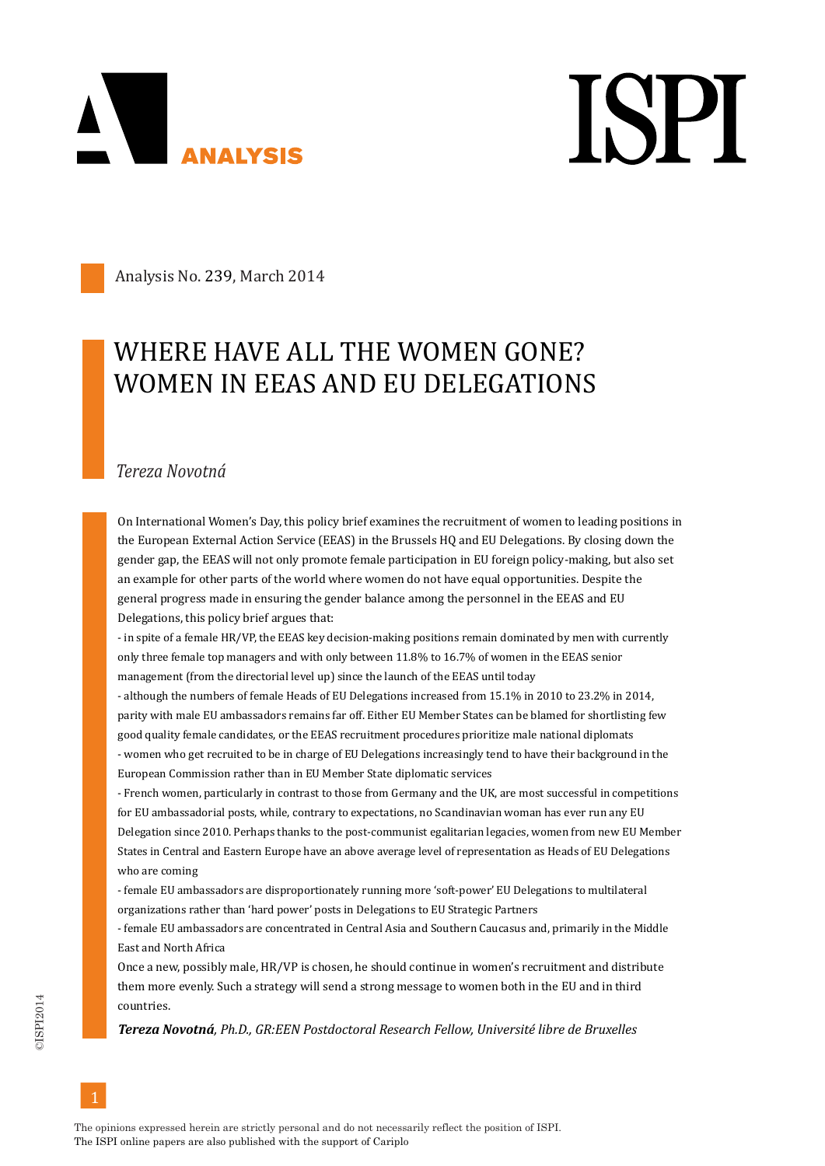

Analysis No. 239, March 2014

### WHERE HAVE ALL THE WOMEN GONE? WOMEN IN EEAS AND EU DELEGATIONS

### *Tereza Novotná*

On International Women's Day, this policy brief examines the recruitment of women to leading positions in the European External Action Service (EEAS) in the Brussels HQ and EU Delegations. By closing down the gender gap, the EEAS will not only promote female participation in EU foreign policy-making, but also set an example for other parts of the world where women do not have equal opportunities. Despite the general progress made in ensuring the gender balance among the personnel in the EEAS and EU Delegations, this policy brief argues that:

- in spite of a female HR/VP, the EEAS key decision-making positions remain dominated by men with currently only three female top managers and with only between 11.8% to 16.7% of women in the EEAS senior management (from the directorial level up) since the launch of the EEAS until today

- although the numbers of female Heads of EU Delegations increased from 15.1% in 2010 to 23.2% in 2014. parity with male EU ambassadors remains far off. Either EU Member States can be blamed for shortlisting few good quality female candidates, or the EEAS recruitment procedures prioritize male national diplomats - women who get recruited to be in charge of EU Delegations increasingly tend to have their background in the European Commission rather than in EU Member State diplomatic services

- French women, particularly in contrast to those from Germany and the UK, are most successful in competitions for EU ambassadorial posts, while, contrary to expectations, no Scandinavian woman has ever run any EU Delegation since 2010. Perhaps thanks to the post-communist egalitarian legacies, women from new EU Member States in Central and Eastern Europe have an above average level of representation as Heads of EU Delegations who are coming

- female EU ambassadors are disproportionately running more 'soft-power' EU Delegations to multilateral organizations rather than 'hard power' posts in Delegations to EU Strategic Partners

- female EU ambassadors are concentrated in Central Asia and Southern Caucasus and, primarily in the Middle East and North Africa

Once a new, possibly male, HR/VP is chosen, he should continue in women's recruitment and distribute them more evenly. Such a strategy will send a strong message to women both in the EU and in third countries. 

*Tereza Novotná, Ph.D., GR:EEN Postdoctoral Research Fellow, Université libre de Bruxelles*

The opinions expressed herein are strictly personal and do not necessarily reflect the position of ISPI. The ISPI online papers are also published with the support of Cariplo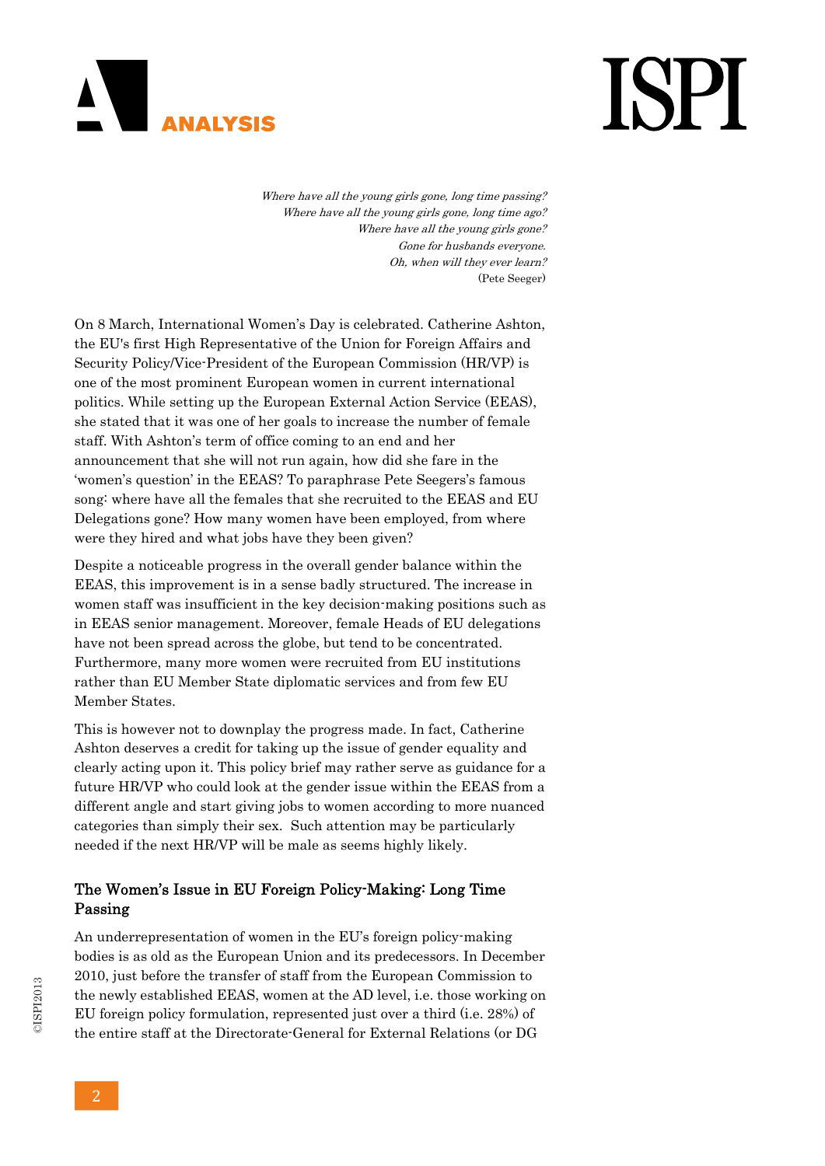Where have all the young girls gone, long time passing? Where have all the young girls gone, long time ago? Where have all the young girls gone? Gone for husbands everyone. Oh, when will they ever learn? (Pete Seeger)

On 8 March, International Women's Day is celebrated. Catherine Ashton, the EU's first High Representative of the Union for Foreign Affairs and Security Policy/Vice-President of the European Commission (HR/VP) is one of the most prominent European women in current international politics. While setting up the European External Action Service (EEAS), she stated that it was one of her goals to increase the number of female staff. With Ashton's term of office coming to an end and her announcement that she will not run again, how did she fare in the 'women's question' in the EEAS? To paraphrase Pete Seegers's famous song: where have all the females that she recruited to the EEAS and EU Delegations gone? How many women have been employed, from where were they hired and what jobs have they been given?

Despite a noticeable progress in the overall gender balance within the EEAS, this improvement is in a sense badly structured. The increase in women staff was insufficient in the key decision-making positions such as in EEAS senior management. Moreover, female Heads of EU delegations have not been spread across the globe, but tend to be concentrated. Furthermore, many more women were recruited from EU institutions rather than EU Member State diplomatic services and from few EU Member States.

This is however not to downplay the progress made. In fact, Catherine Ashton deserves a credit for taking up the issue of gender equality and clearly acting upon it. This policy brief may rather serve as guidance for a future HR/VP who could look at the gender issue within the EEAS from a different angle and start giving jobs to women according to more nuanced categories than simply their sex. Such attention may be particularly needed if the next HR/VP will be male as seems highly likely.

### The Women's Issue in EU Foreign Policy-Making: Long Time Passing

An underrepresentation of women in the EU's foreign policy-making bodies is as old as the European Union and its predecessors. In December 2010, just before the transfer of staff from the European Commission to the newly established EEAS, women at the AD level, i.e. those working on EU foreign policy formulation, represented just over a third (i.e. 28%) of the entire staff at the Directorate-General for External Relations (or DG

AN I

**ANALYSIS**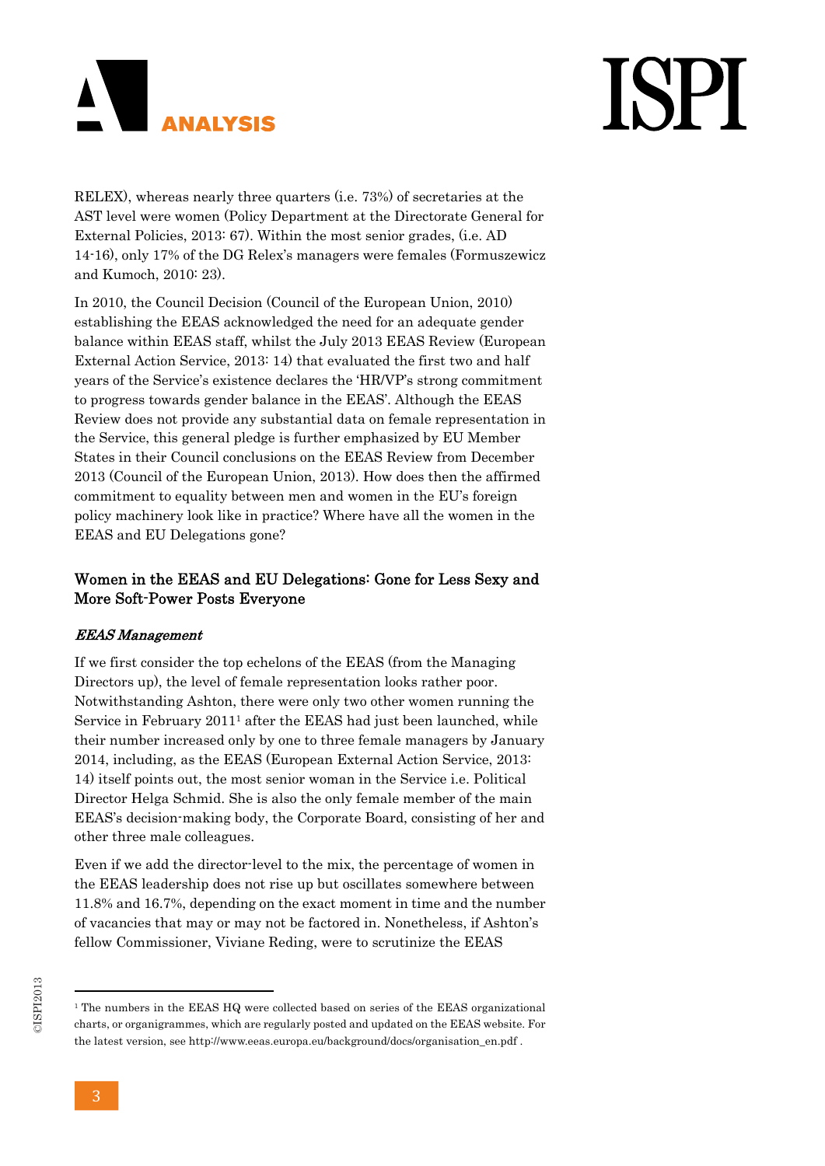

RELEX), whereas nearly three quarters (i.e. 73%) of secretaries at the AST level were women (Policy Department at the Directorate General for External Policies, 2013: 67). Within the most senior grades, (i.e. AD 14-16), only 17% of the DG Relex's managers were females (Formuszewicz and Kumoch, 2010: 23).

In 2010, the Council Decision (Council of the European Union, 2010) establishing the EEAS acknowledged the need for an adequate gender balance within EEAS staff, whilst the July 2013 EEAS Review (European External Action Service, 2013: 14) that evaluated the first two and half years of the Service's existence declares the 'HR/VP's strong commitment to progress towards gender balance in the EEAS'. Although the EEAS Review does not provide any substantial data on female representation in the Service, this general pledge is further emphasized by EU Member States in their Council conclusions on the EEAS Review from December 2013 (Council of the European Union, 2013). How does then the affirmed commitment to equality between men and women in the EU's foreign policy machinery look like in practice? Where have all the women in the EEAS and EU Delegations gone?

### Women in the EEAS and EU Delegations: Gone for Less Sexy and More Soft-Power Posts Everyone

### EEAS Management

If we first consider the top echelons of the EEAS (from the Managing Directors up), the level of female representation looks rather poor. Notwithstanding Ashton, there were only two other women running the Service in February 20111 after the EEAS had just been launched, while their number increased only by one to three female managers by January 2014, including, as the EEAS (European External Action Service, 2013: 14) itself points out, the most senior woman in the Service i.e. Political Director Helga Schmid. She is also the only female member of the main EEAS's decision-making body, the Corporate Board, consisting of her and other three male colleagues.

Even if we add the director-level to the mix, the percentage of women in the EEAS leadership does not rise up but oscillates somewhere between 11.8% and 16.7%, depending on the exact moment in time and the number of vacancies that may or may not be factored in. Nonetheless, if Ashton's fellow Commissioner, Viviane Reding, were to scrutinize the EEAS

**OISPI2013** ©ISPI2013

<sup>&</sup>lt;sup>1</sup> The numbers in the EEAS HQ were collected based on series of the EEAS organizational charts, or organigrammes, which are regularly posted and updated on the EEAS website. For the latest version, see http://www.eeas.europa.eu/background/docs/organisation\_en.pdf .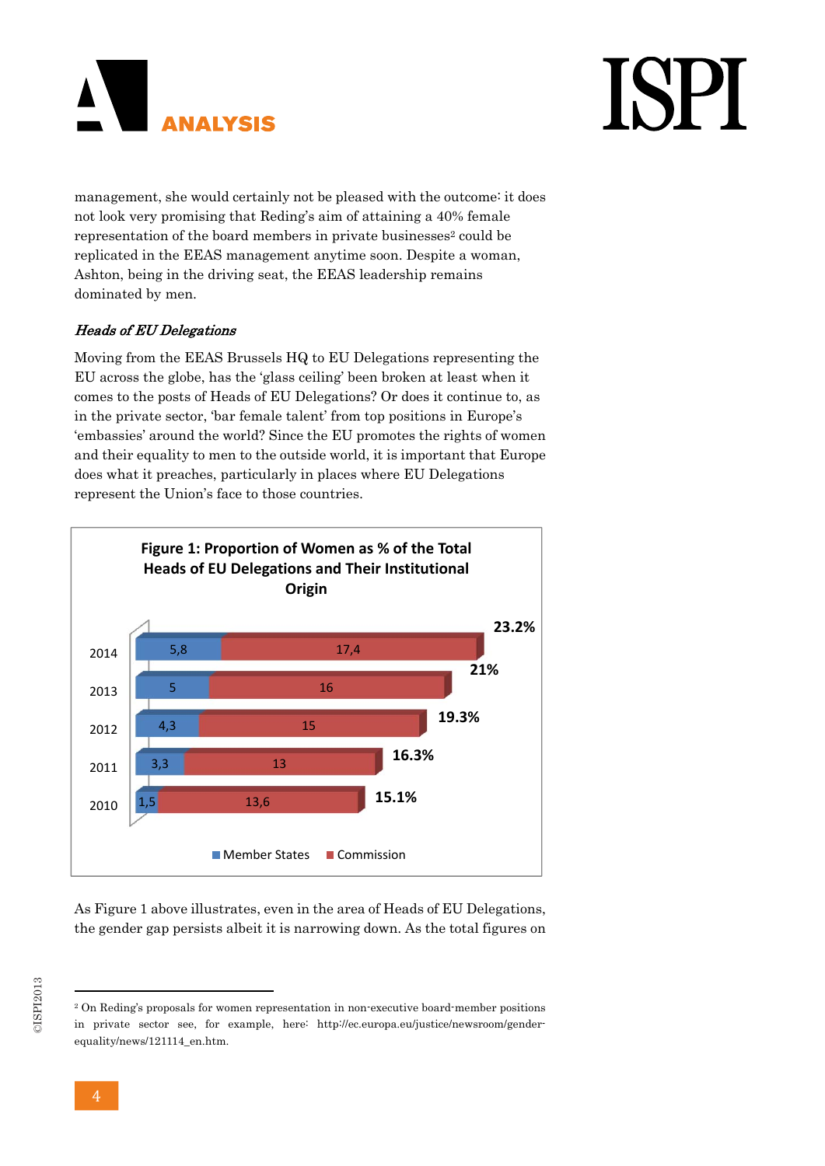

management, she would certainly not be pleased with the outcome: it does not look very promising that Reding's aim of attaining a 40% female representation of the board members in private businesses<sup>2</sup> could be replicated in the EEAS management anytime soon. Despite a woman, Ashton, being in the driving seat, the EEAS leadership remains dominated by men.

### Heads of EU Delegations

Moving from the EEAS Brussels HQ to EU Delegations representing the EU across the globe, has the 'glass ceiling' been broken at least when it comes to the posts of Heads of EU Delegations? Or does it continue to, as in the private sector, 'bar female talent' from top positions in Europe's 'embassies' around the world? Since the EU promotes the rights of women and their equality to men to the outside world, it is important that Europe does what it preaches, particularly in places where EU Delegations represent the Union's face to those countries.



As Figure 1 above illustrates, even in the area of Heads of EU Delegations, the gender gap persists albeit it is narrowing down. As the total figures on

<sup>2</sup> On Reding's proposals for women representation in non-executive board-member positions in private sector see, for example, here: http://ec.europa.eu/justice/newsroom/genderequality/news/121114\_en.htm.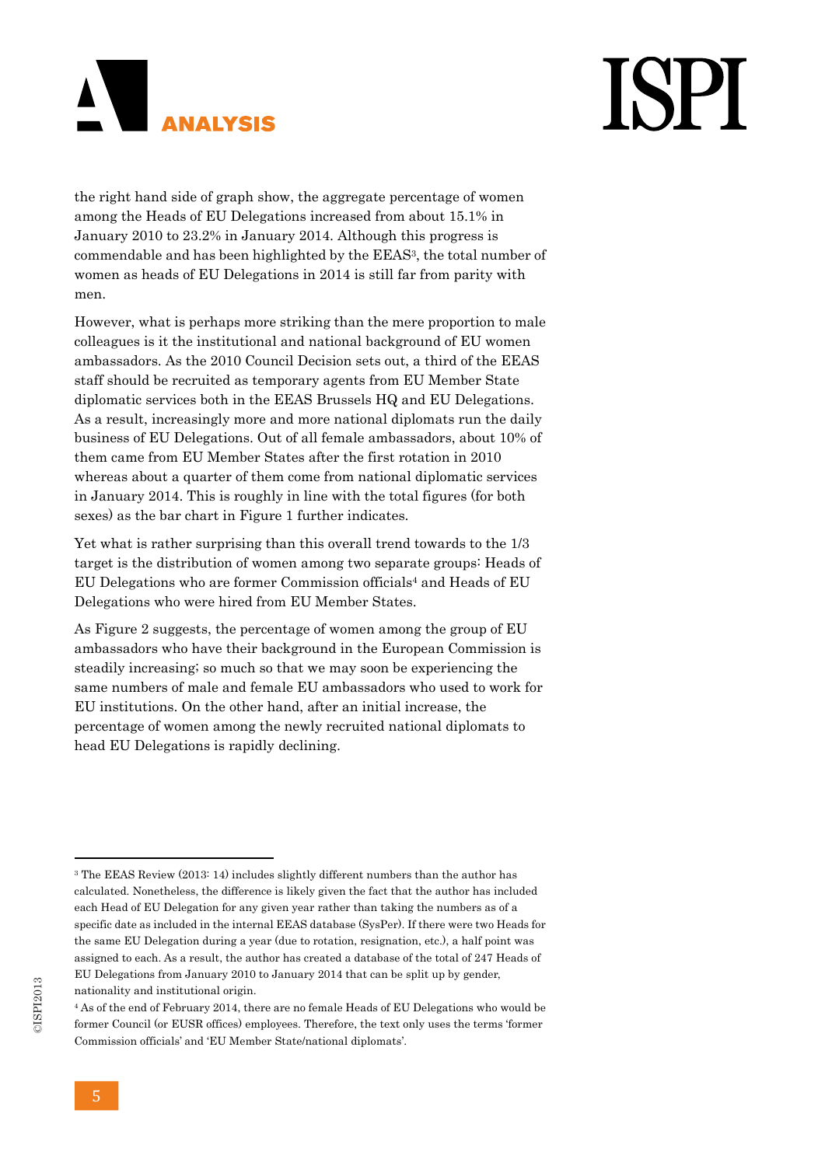the right hand side of graph show, the aggregate percentage of women among the Heads of EU Delegations increased from about 15.1% in January 2010 to 23.2% in January 2014. Although this progress is commendable and has been highlighted by the EEAS3, the total number of women as heads of EU Delegations in 2014 is still far from parity with men.

However, what is perhaps more striking than the mere proportion to male colleagues is it the institutional and national background of EU women ambassadors. As the 2010 Council Decision sets out, a third of the EEAS staff should be recruited as temporary agents from EU Member State diplomatic services both in the EEAS Brussels HQ and EU Delegations. As a result, increasingly more and more national diplomats run the daily business of EU Delegations. Out of all female ambassadors, about 10% of them came from EU Member States after the first rotation in 2010 whereas about a quarter of them come from national diplomatic services in January 2014. This is roughly in line with the total figures (for both sexes) as the bar chart in Figure 1 further indicates.

Yet what is rather surprising than this overall trend towards to the 1/3 target is the distribution of women among two separate groups: Heads of EU Delegations who are former Commission officials<sup>4</sup> and Heads of EU Delegations who were hired from EU Member States.

As Figure 2 suggests, the percentage of women among the group of EU ambassadors who have their background in the European Commission is steadily increasing; so much so that we may soon be experiencing the same numbers of male and female EU ambassadors who used to work for EU institutions. On the other hand, after an initial increase, the percentage of women among the newly recruited national diplomats to head EU Delegations is rapidly declining.

A \

**ANALYSIS** 

<sup>3</sup> The EEAS Review (2013: 14) includes slightly different numbers than the author has calculated. Nonetheless, the difference is likely given the fact that the author has included each Head of EU Delegation for any given year rather than taking the numbers as of a specific date as included in the internal EEAS database (SysPer). If there were two Heads for the same EU Delegation during a year (due to rotation, resignation, etc.), a half point was assigned to each. As a result, the author has created a database of the total of 247 Heads of EU Delegations from January 2010 to January 2014 that can be split up by gender, nationality and institutional origin.

<sup>4</sup> As of the end of February 2014, there are no female Heads of EU Delegations who would be former Council (or EUSR offices) employees. Therefore, the text only uses the terms 'former Commission officials' and 'EU Member State/national diplomats'.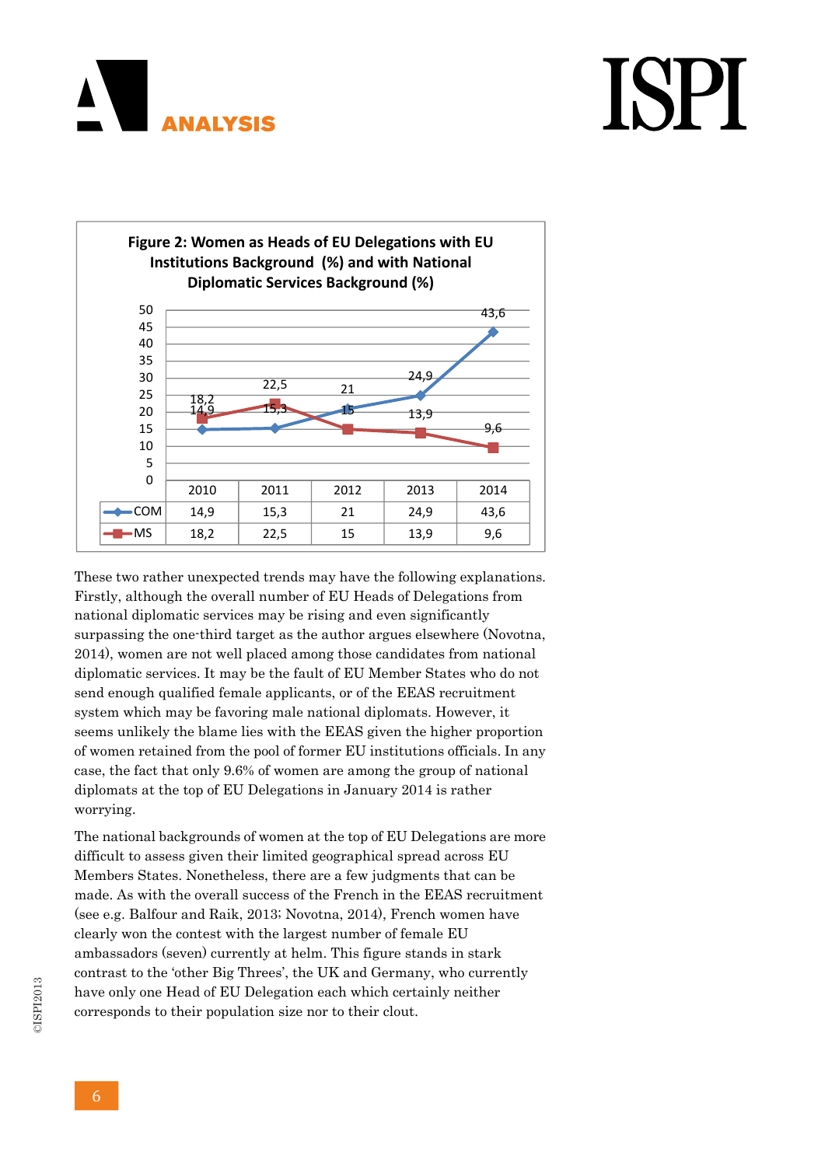



These two rather unexpected trends may have the following explanations. Firstly, although the overall number of EU Heads of Delegations from national diplomatic services may be rising and even significantly surpassing the one-third target as the author argues elsewhere (Novotna, 2014), women are not well placed among those candidates from national diplomatic services. It may be the fault of EU Member States who do not send enough qualified female applicants, or of the EEAS recruitment system which may be favoring male national diplomats. However, it seems unlikely the blame lies with the EEAS given the higher proportion of women retained from the pool of former EU institutions officials. In any case, the fact that only 9.6% of women are among the group of national diplomats at the top of EU Delegations in January 2014 is rather worrying.

The national backgrounds of women at the top of EU Delegations are more difficult to assess given their limited geographical spread across EU Members States. Nonetheless, there are a few judgments that can be made. As with the overall success of the French in the EEAS recruitment (see e.g. Balfour and Raik, 2013; Novotna, 2014), French women have clearly won the contest with the largest number of female EU ambassadors (seven) currently at helm. This figure stands in stark contrast to the 'other Big Threes', the UK and Germany, who currently have only one Head of EU Delegation each which certainly neither corresponds to their population size nor to their clout.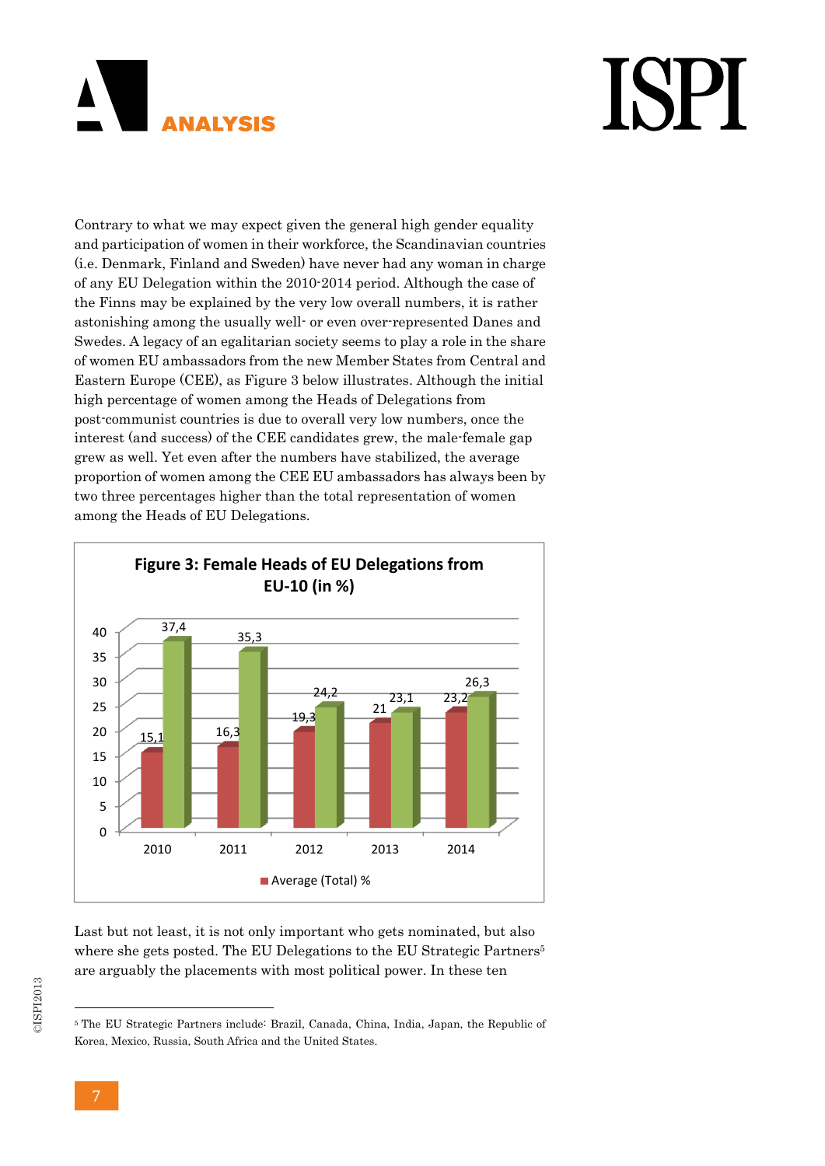Contrary to what we may expect given the general high gender equality and participation of women in their workforce, the Scandinavian countries (i.e. Denmark, Finland and Sweden) have never had any woman in charge of any EU Delegation within the 2010-2014 period. Although the case of the Finns may be explained by the very low overall numbers, it is rather astonishing among the usually well- or even over-represented Danes and Swedes. A legacy of an egalitarian society seems to play a role in the share of women EU ambassadors from the new Member States from Central and Eastern Europe (CEE), as Figure 3 below illustrates. Although the initial high percentage of women among the Heads of Delegations from post-communist countries is due to overall very low numbers, once the interest (and success) of the CEE candidates grew, the male-female gap grew as well. Yet even after the numbers have stabilized, the average proportion of women among the CEE EU ambassadors has always been by two three percentages higher than the total representation of women among the Heads of EU Delegations.



Last but not least, it is not only important who gets nominated, but also where she gets posted. The EU Delegations to the EU Strategic Partners<sup>5</sup> are arguably the placements with most political power. In these ten

**ANALYSIS** 

<sup>5</sup> The EU Strategic Partners include: Brazil, Canada, China, India, Japan, the Republic of Korea, Mexico, Russia, South Africa and the United States.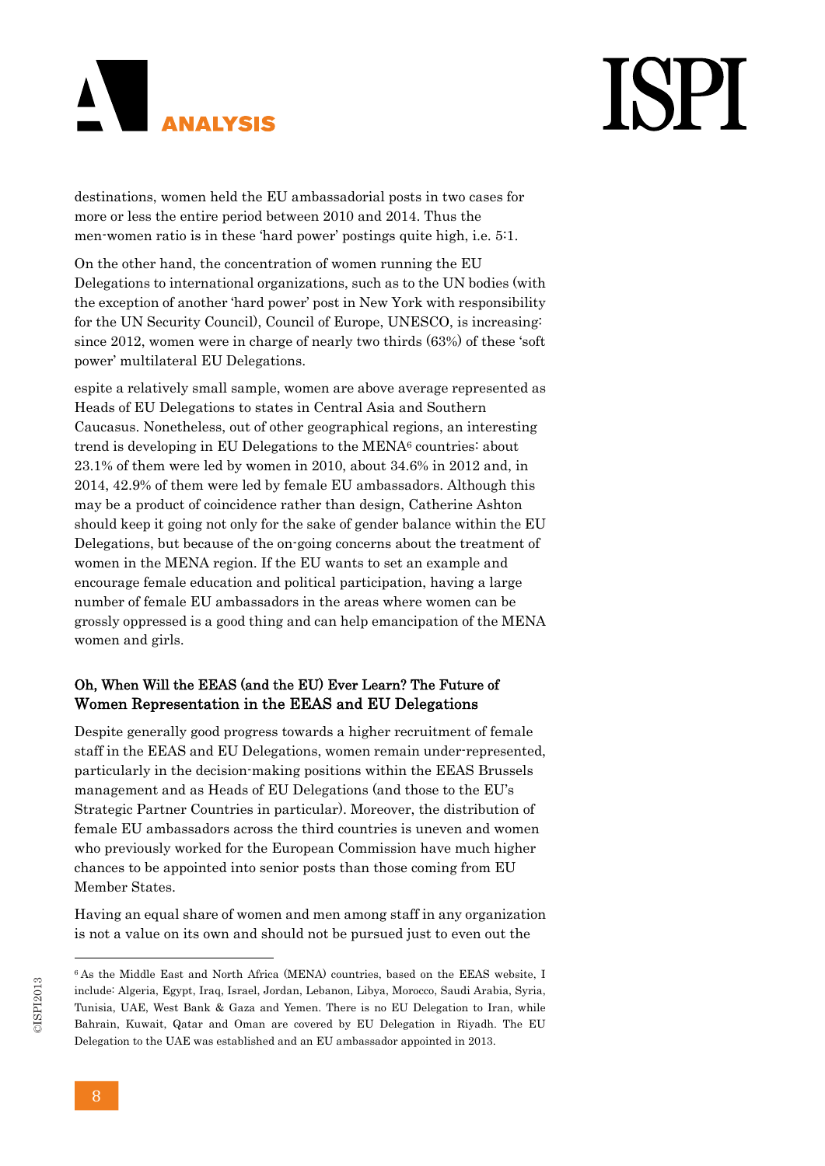destinations, women held the EU ambassadorial posts in two cases for more or less the entire period between 2010 and 2014. Thus the men-women ratio is in these 'hard power' postings quite high, i.e. 5:1.

**ANALYSIS** 

 $\blacktriangle$ 

On the other hand, the concentration of women running the EU Delegations to international organizations, such as to the UN bodies (with the exception of another 'hard power' post in New York with responsibility for the UN Security Council), Council of Europe, UNESCO, is increasing: since 2012, women were in charge of nearly two thirds (63%) of these 'soft power' multilateral EU Delegations.

espite a relatively small sample, women are above average represented as Heads of EU Delegations to states in Central Asia and Southern Caucasus. Nonetheless, out of other geographical regions, an interesting trend is developing in EU Delegations to the MENA6 countries: about 23.1% of them were led by women in 2010, about 34.6% in 2012 and, in 2014, 42.9% of them were led by female EU ambassadors. Although this may be a product of coincidence rather than design, Catherine Ashton should keep it going not only for the sake of gender balance within the EU Delegations, but because of the on-going concerns about the treatment of women in the MENA region. If the EU wants to set an example and encourage female education and political participation, having a large number of female EU ambassadors in the areas where women can be grossly oppressed is a good thing and can help emancipation of the MENA women and girls.

### Oh, When Will the EEAS (and the EU) Ever Learn? The Future of Women Representation in the EEAS and EU Delegations

Despite generally good progress towards a higher recruitment of female staff in the EEAS and EU Delegations, women remain under-represented, particularly in the decision-making positions within the EEAS Brussels management and as Heads of EU Delegations (and those to the EU's Strategic Partner Countries in particular). Moreover, the distribution of female EU ambassadors across the third countries is uneven and women who previously worked for the European Commission have much higher chances to be appointed into senior posts than those coming from EU Member States.

Having an equal share of women and men among staff in any organization is not a value on its own and should not be pursued just to even out the

<sup>6</sup> As the Middle East and North Africa (MENA) countries, based on the EEAS website, I include: Algeria, Egypt, Iraq, Israel, Jordan, Lebanon, Libya, Morocco, Saudi Arabia, Syria, Tunisia, UAE, West Bank & Gaza and Yemen. There is no EU Delegation to Iran, while Bahrain, Kuwait, Qatar and Oman are covered by EU Delegation in Riyadh. The EU Delegation to the UAE was established and an EU ambassador appointed in 2013.